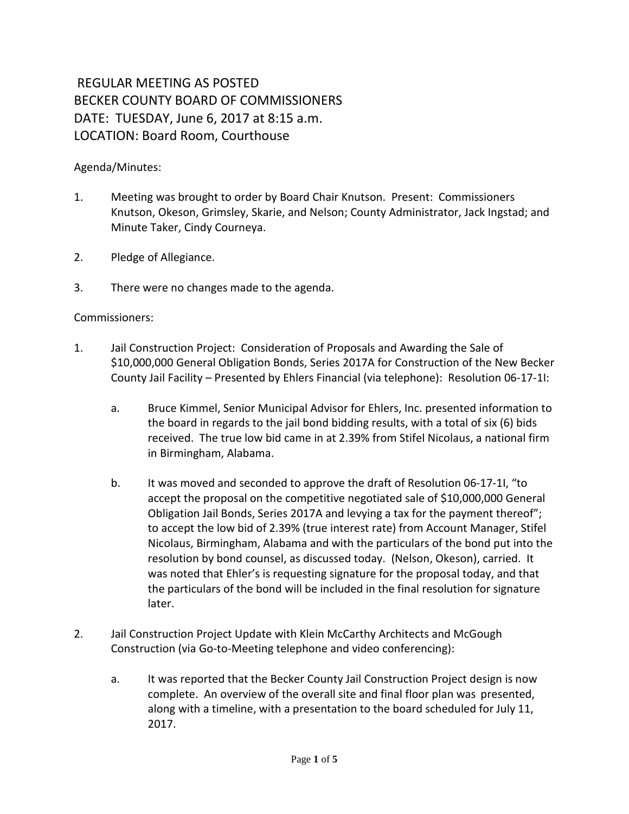## REGULAR MEETING AS POSTED BECKER COUNTY BOARD OF COMMISSIONERS DATE: TUESDAY, June 6, 2017 at 8:15 a.m. LOCATION: Board Room, Courthouse

## Agenda/Minutes:

- 1. Meeting was brought to order by Board Chair Knutson. Present: Commissioners Knutson, Okeson, Grimsley, Skarie, and Nelson; County Administrator, Jack Ingstad; and Minute Taker, Cindy Courneya.
- 2. Pledge of Allegiance.
- 3. There were no changes made to the agenda.

## Commissioners:

- 1. Jail Construction Project: Consideration of Proposals and Awarding the Sale of \$10,000,000 General Obligation Bonds, Series 2017A for Construction of the New Becker County Jail Facility – Presented by Ehlers Financial (via telephone): Resolution 06-17-1I:
	- a. Bruce Kimmel, Senior Municipal Advisor for Ehlers, Inc. presented information to the board in regards to the jail bond bidding results, with a total of six (6) bids received. The true low bid came in at 2.39% from Stifel Nicolaus, a national firm in Birmingham, Alabama.
	- b. It was moved and seconded to approve the draft of Resolution 06-17-1I, "to accept the proposal on the competitive negotiated sale of \$10,000,000 General Obligation Jail Bonds, Series 2017A and levying a tax for the payment thereof"; to accept the low bid of 2.39% (true interest rate) from Account Manager, Stifel Nicolaus, Birmingham, Alabama and with the particulars of the bond put into the resolution by bond counsel, as discussed today. (Nelson, Okeson), carried. It was noted that Ehler's is requesting signature for the proposal today, and that the particulars of the bond will be included in the final resolution for signature later.
- 2. Jail Construction Project Update with Klein McCarthy Architects and McGough Construction (via Go-to-Meeting telephone and video conferencing):
	- a. It was reported that the Becker County Jail Construction Project design is now complete. An overview of the overall site and final floor plan was presented, along with a timeline, with a presentation to the board scheduled for July 11, 2017.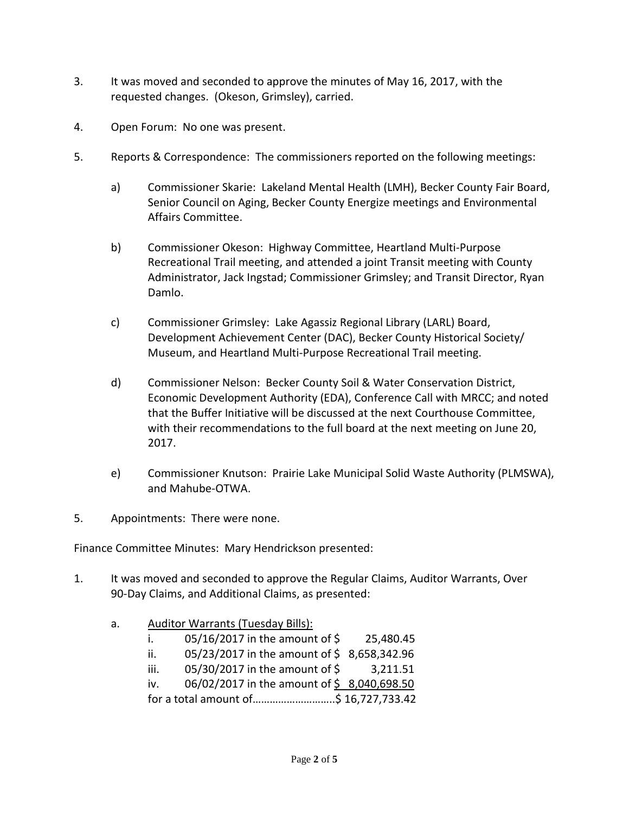- 3. It was moved and seconded to approve the minutes of May 16, 2017, with the requested changes. (Okeson, Grimsley), carried.
- 4. Open Forum: No one was present.
- 5. Reports & Correspondence: The commissioners reported on the following meetings:
	- a) Commissioner Skarie: Lakeland Mental Health (LMH), Becker County Fair Board, Senior Council on Aging, Becker County Energize meetings and Environmental Affairs Committee.
	- b) Commissioner Okeson: Highway Committee, Heartland Multi-Purpose Recreational Trail meeting, and attended a joint Transit meeting with County Administrator, Jack Ingstad; Commissioner Grimsley; and Transit Director, Ryan Damlo.
	- c) Commissioner Grimsley: Lake Agassiz Regional Library (LARL) Board, Development Achievement Center (DAC), Becker County Historical Society/ Museum, and Heartland Multi-Purpose Recreational Trail meeting.
	- d) Commissioner Nelson: Becker County Soil & Water Conservation District, Economic Development Authority (EDA), Conference Call with MRCC; and noted that the Buffer Initiative will be discussed at the next Courthouse Committee, with their recommendations to the full board at the next meeting on June 20, 2017.
	- e) Commissioner Knutson: Prairie Lake Municipal Solid Waste Authority (PLMSWA), and Mahube-OTWA.
- 5. Appointments: There were none.

Finance Committee Minutes: Mary Hendrickson presented:

- 1. It was moved and seconded to approve the Regular Claims, Auditor Warrants, Over 90-Day Claims, and Additional Claims, as presented:
	- a. Auditor Warrants (Tuesday Bills):

| Ī.   | 05/16/2017 in the amount of \$             | 25,480.45 |
|------|--------------------------------------------|-----------|
| ii.  | 05/23/2017 in the amount of \$8,658,342.96 |           |
| iii. | 05/30/2017 in the amount of \$             | 3,211.51  |
| iv.  | 06/02/2017 in the amount of \$8,040,698.50 |           |
|      | for a total amount of\$ 16,727,733.42      |           |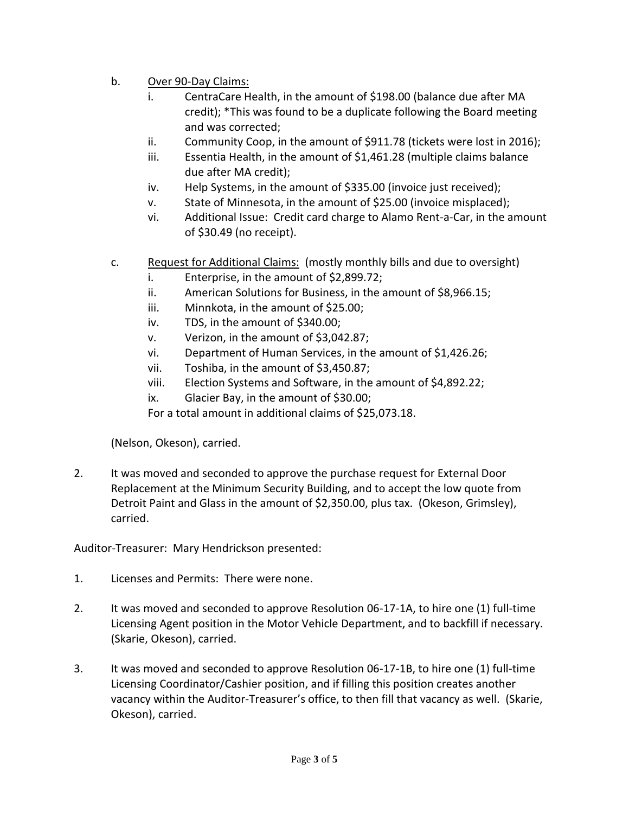- b. Over 90-Day Claims:
	- i. CentraCare Health, in the amount of \$198.00 (balance due after MA credit); \*This was found to be a duplicate following the Board meeting and was corrected;
	- ii. Community Coop, in the amount of \$911.78 (tickets were lost in 2016);
	- iii. Essentia Health, in the amount of \$1,461.28 (multiple claims balance due after MA credit);
	- iv. Help Systems, in the amount of \$335.00 (invoice just received);
	- v. State of Minnesota, in the amount of \$25.00 (invoice misplaced);
	- vi. Additional Issue: Credit card charge to Alamo Rent-a-Car, in the amount of \$30.49 (no receipt).
- c. Request for Additional Claims: (mostly monthly bills and due to oversight)
	- i. Enterprise, in the amount of \$2,899.72;
	- ii. American Solutions for Business, in the amount of \$8,966.15;
	- iii. Minnkota, in the amount of \$25.00;
	- iv. TDS, in the amount of \$340.00;
	- v. Verizon, in the amount of \$3,042.87;
	- vi. Department of Human Services, in the amount of \$1,426.26;
	- vii. Toshiba, in the amount of \$3,450.87;
	- viii. Election Systems and Software, in the amount of \$4,892.22;
	- ix. Glacier Bay, in the amount of \$30.00;

For a total amount in additional claims of \$25,073.18.

(Nelson, Okeson), carried.

2. It was moved and seconded to approve the purchase request for External Door Replacement at the Minimum Security Building, and to accept the low quote from Detroit Paint and Glass in the amount of \$2,350.00, plus tax. (Okeson, Grimsley), carried.

Auditor-Treasurer: Mary Hendrickson presented:

- 1. Licenses and Permits: There were none.
- 2. It was moved and seconded to approve Resolution 06-17-1A, to hire one (1) full-time Licensing Agent position in the Motor Vehicle Department, and to backfill if necessary. (Skarie, Okeson), carried.
- 3. It was moved and seconded to approve Resolution 06-17-1B, to hire one (1) full-time Licensing Coordinator/Cashier position, and if filling this position creates another vacancy within the Auditor-Treasurer's office, to then fill that vacancy as well. (Skarie, Okeson), carried.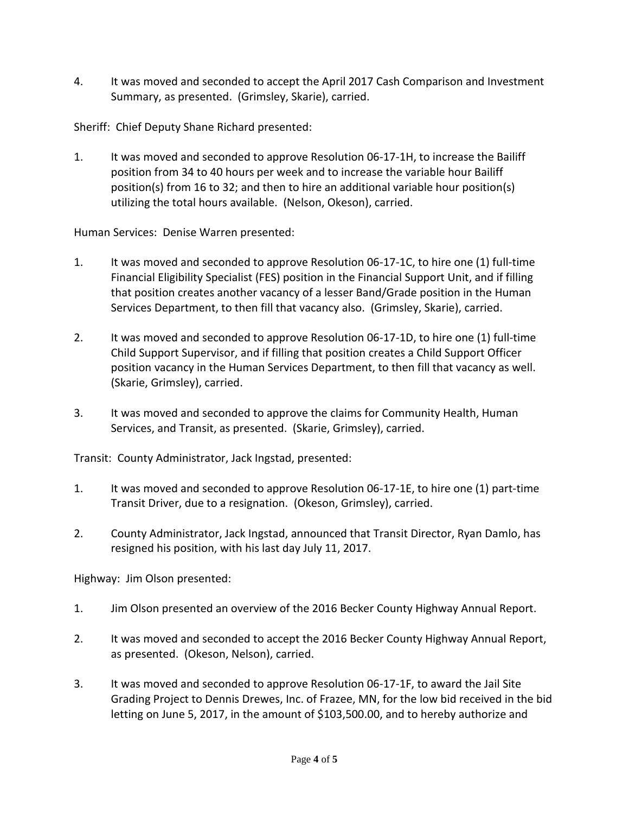4. It was moved and seconded to accept the April 2017 Cash Comparison and Investment Summary, as presented. (Grimsley, Skarie), carried.

Sheriff: Chief Deputy Shane Richard presented:

1. It was moved and seconded to approve Resolution 06-17-1H, to increase the Bailiff position from 34 to 40 hours per week and to increase the variable hour Bailiff position(s) from 16 to 32; and then to hire an additional variable hour position(s) utilizing the total hours available. (Nelson, Okeson), carried.

Human Services: Denise Warren presented:

- 1. It was moved and seconded to approve Resolution 06-17-1C, to hire one (1) full-time Financial Eligibility Specialist (FES) position in the Financial Support Unit, and if filling that position creates another vacancy of a lesser Band/Grade position in the Human Services Department, to then fill that vacancy also. (Grimsley, Skarie), carried.
- 2. It was moved and seconded to approve Resolution 06-17-1D, to hire one (1) full-time Child Support Supervisor, and if filling that position creates a Child Support Officer position vacancy in the Human Services Department, to then fill that vacancy as well. (Skarie, Grimsley), carried.
- 3. It was moved and seconded to approve the claims for Community Health, Human Services, and Transit, as presented. (Skarie, Grimsley), carried.

Transit: County Administrator, Jack Ingstad, presented:

- 1. It was moved and seconded to approve Resolution 06-17-1E, to hire one (1) part-time Transit Driver, due to a resignation. (Okeson, Grimsley), carried.
- 2. County Administrator, Jack Ingstad, announced that Transit Director, Ryan Damlo, has resigned his position, with his last day July 11, 2017.

Highway: Jim Olson presented:

- 1. Jim Olson presented an overview of the 2016 Becker County Highway Annual Report.
- 2. It was moved and seconded to accept the 2016 Becker County Highway Annual Report, as presented. (Okeson, Nelson), carried.
- 3. It was moved and seconded to approve Resolution 06-17-1F, to award the Jail Site Grading Project to Dennis Drewes, Inc. of Frazee, MN, for the low bid received in the bid letting on June 5, 2017, in the amount of \$103,500.00, and to hereby authorize and